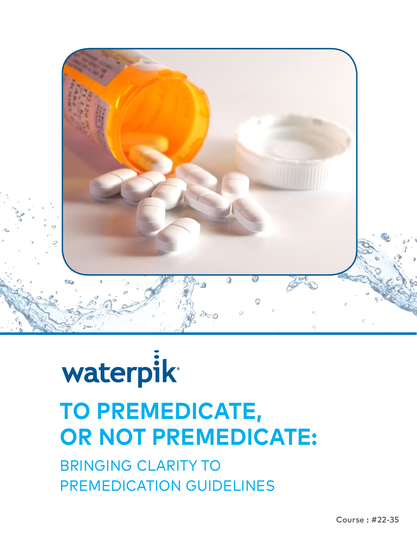

# waterpik **TO PREMEDICATE, OR NOT PREMEDICATE:**

BRINGING CLARITY TO PREMEDICATION GUIDELINES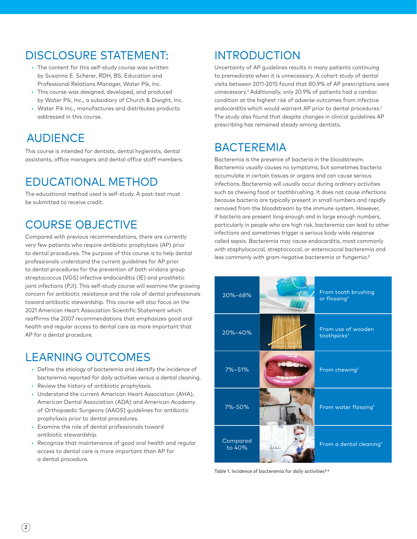### DISCLOSURE STATEMENT:

- The content for this self-study course was written by Susanna E. Scherer, RDH, BS, Education and Professional Relations Manager, Water Pik, Inc.
- This course was designed, developed, and produced by Water Pik, Inc., a subsidiary of Church & Dwight, Inc.
- Water Pik Inc., manufactures and distributes products addressed in this course.

# **AUDIFNCF**

This course is intended for dentists, dental hygienists, dental assistants, office managers and dental office staff members.

# EDUCATIONAL METHOD

The educational method used is self-study. A post-test must be submitted to receive credit.

# COURSE OBJECTIVE

Compared with previous recommendations, there are currently very few patients who require antibiotic prophylaxis (AP) prior to dental procedures. The purpose of this course is to help dental professionals understand the current guidelines for AP prior to dental procedures for the prevention of both viridans group streptococcus (VGS) infective endocarditis (IE) and prosthetic joint infections (PJI). This self-study course will examine the growing concern for antibiotic resistance and the role of dental professionals toward antibiotic stewardship. This course will also focus on the 2021 American Heart Association Scientific Statement which reaffirms the 2007 recommendations that emphasizes good oral health and regular access to dental care as more important that AP for a dental procedure.

### LEARNING OUTCOMES

- Define the etiology of bacteremia and identify the incidence of bacteremia reported for daily activities versus a dental cleaning.
- Review the history of antibiotic prophylaxis.
- Understand the current American Heart Association (AHA), American Dental Association (ADA) and American Academy of Orthopaedic Surgeons (AAOS) guidelines for antibiotic prophylaxis prior to dental procedures.
- Examine the role of dental professionals toward antibiotic stewardship.
- Recognize that maintenance of good oral health and regular access to dental care is more important than AP for a dental procedure.

### INTRODUCTION

Uncertainty of AP guidelines results in many patients continuing to premedicate when it is unnecessary. A cohort study of dental visits between 2011-2015 found that 80.9% of AP prescriptions were unnecessary.1 Additionally, only 20.9% of patients had a cardiac condition at the highest risk of adverse outcomes from infective endocarditis which would warrant AP prior to dental procedures.<sup>1</sup> The study also found that despite changes in clinical guidelines AP prescribing has remained steady among dentists.

### **BACTEREMIA**

Bacteremia is the presence of bacteria in the bloodstream. Bacteremia usually causes no symptoms, but sometimes bacteria accumulate in certain tissues or organs and can cause serious infections. Bacteremia will usually occur during ordinary activities such as chewing food or toothbrushing. It does not cause infections because bacteria are typically present in small numbers and rapidly removed from the bloodstream by the immune system. However, if bacteria are present long enough and in large enough numbers, particularly in people who are high risk, bacteremia can lead to other infections and sometimes trigger a serious body wide response called [sepsis](https://www.merckmanuals.com/home/infections/bacteremia-sepsis-and-septic-shock/sepsis-and-septic-shock). Bacteremia may cause [endocarditis,](https://www.merckmanuals.com/professional/cardiovascular-disorders/endocarditis/infective-endocarditis) most commonly with staphylococcal, streptococcal, or enterococcal bacteremia and less commonly with gram-negative bacteremia or fungemia.<sup>2</sup>

| 20%-68%            |      | From tooth brushing<br>or flossing <sup>3</sup> |
|--------------------|------|-------------------------------------------------|
| 20%-40%            |      | From use of wooden<br>toothpicks <sup>3</sup>   |
| 7%-51%             |      | From chewing <sup>3</sup>                       |
| 7%-50%             |      | From water flossing <sup>4</sup>                |
| Compared<br>to 40% | نندد | From a dental cleaning <sup>3</sup>             |

Table 1. Incidence of bacteremia for daily activities<sup>3,4</sup>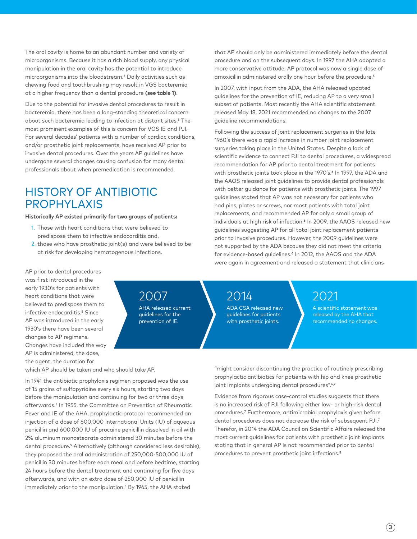The oral cavity is home to an abundant number and variety of microorganisms. Because it has a rich blood supply, any physical manipulation in the oral cavity has the potential to introduce microorganisms into the bloodstream.3 Daily activities such as chewing food and toothbrushing may result in VGS bacteremia at a higher frequency than a dental procedure **(see table 1)**.

Due to the potential for invasive dental procedures to result in bacteremia, there has been a long-standing theoretical concern about such bacteremia leading to infection at distant sites.3 The most prominent examples of this is concern for VGS IE and PJI. For several decades' patients with a number of cardiac conditions, and/or prosthetic joint replacements, have received AP prior to invasive dental procedures. Over the years AP guidelines have undergone several changes causing confusion for many dental professionals about when premedication is recommended.

#### HISTORY OF ANTIBIOTIC PROPHYLAXIS

#### **Historically AP existed primarily for two groups of patients:**

- 1. Those with heart conditions that were believed to predispose them to infective endocarditis and,
- 2. those who have prosthetic joint(s) and were believed to be at risk for developing hematogenous infections.

that AP should only be administered immediately before the dental procedure and on the subsequent days. In 1997 the AHA adopted a more conservative attitude; AP protocol was now a single dose of amoxicillin administered orally one hour before the procedure.5

In 2007, with input from the ADA, the AHA released updated guidelines for the prevention of IE, reducing AP to a very small subset of patients. Most recently the AHA scientific statement released May 18, 2021 recommended no changes to the 2007 guideline recommendations.

Following the success of joint replacement surgeries in the late 1960's there was a rapid increase in number joint replacement surgeries taking place in the United States. Despite a lack of scientific evidence to connect PJI to dental procedures, a widespread recommendation for AP prior to dental treatment for patients with prosthetic joints took place in the 1970's.<sup>6</sup> In 1997, the ADA and the AAOS released joint guidelines to provide dental professionals with better quidance for patients with prosthetic joints. The 1997 guidelines stated that AP was not necessary for patients who had pins, plates or screws, nor most patients with total joint replacements, and recommended AP for only a small group of individuals at high risk of infection.<sup>6</sup> In 2009, the AAOS released new guidelines suggesting AP for all total joint replacement patients prior to invasive procedures. However, the 2009 guidelines were not supported by the ADA because they did not meet the criteria for evidence-based guidelines.<sup>6</sup> In 2012, the AAOS and the ADA were again in agreement and released a statement that clinicians

AP prior to dental procedures was first introduced in the early 1930's for patients with heart conditions that were believed to predispose them to infective endocarditis.<sup>5</sup> Since AP was introduced in the early 1930's there have been several changes to AP regimens. Changes have included the way AP is administered, the dose, the agent, the duration for

2007

AHA released current guidelines for the prevention of IE.

2014

ADA CSA released new guidelines for patients with prosthetic joints.

#### 2021

A scientific statement was released by the AHA that recommended no changes.

which AP should be taken and who should take AP.

In 1941 the antibiotic prophylaxis regimen proposed was the use of 15 grains of sulfapyridine every six hours, starting two days before the manipulation and continuing for two or three days afterwards.5 In 1955, the Committee on Prevention of Rheumatic Fever and IE of the AHA, prophylactic protocol recommended an injection of a dose of 600,000 International Units (IU) of aqueous penicillin and 600,000 IU of procaine penicillin dissolved in oil with 2% aluminum monostearate administered 30 minutes before the dental procedure.<sup>5</sup> Alternatively (although considered less desirable), they proposed the oral administration of 250,000-500,000 IU of penicillin 30 minutes before each meal and before bedtime, starting 24 hours before the dental treatment and continuing for five days afterwards, and with an extra dose of 250,000 IU of penicillin immediately prior to the manipulation.5 By 1965, the AHA stated

"might consider discontinuing the practice of routinely prescribing prophylactic antibiotics for patients with hip and knee prosthetic joint implants undergoing dental procedures".6, 7

Evidence from rigorous case-control studies suggests that there is no increased risk of PJI following either low- or high-risk dental procedures.7 Furthermore, antimicrobial prophylaxis given before dental procedures does not decrease the risk of subsequent PJI.7 Therefor, in 2014 the ADA Council on Scientific Affairs released the most current guidelines for patients with prosthetic joint implants stating that in general AP is not recommended prior to dental procedures to prevent prosthetic joint infections.8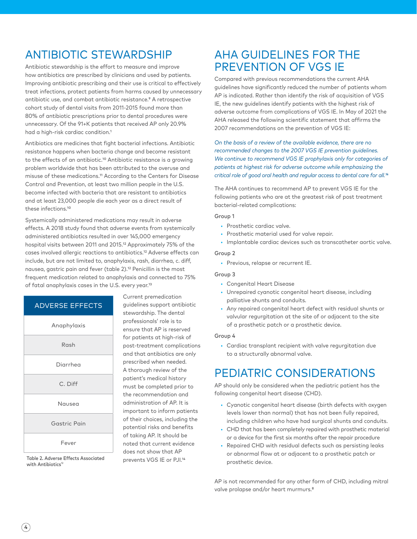## ANTIBIOTIC STEWARDSHIP

Antibiotic stewardship is the effort to measure and improve how antibiotics are prescribed by clinicians and used by patients. Improving antibiotic prescribing and their use is critical to effectively treat infections, protect patients from harms caused by unnecessary antibiotic use, and combat antibiotic resistance.9 A retrospective cohort study of dental visits from 2011-2015 found more than 80% of antibiotic prescriptions prior to dental procedures were unnecessary. Of the 91+K patients that received AP only 20.9% had a high-risk cardiac condition.1

Antibiotics are medicines that fight bacterial infections. Antibiotic resistance happens when bacteria change and become resistant to the effects of an antibiotic.10 Antibiotic resistance is a growing problem worldwide that has been attributed to the overuse and misuse of these medications.11 According to the Centers for Disease Control and Prevention, at least two million people in the U.S. become infected with bacteria that are resistant to antibiotics and at least 23,000 people die each year as a direct result of these infections.10

Systemically administered medications may result in adverse effects. A 2018 study found that adverse events from systemically administered antibiotics resulted in over 145,000 emergency hospital visits between 2011 and 2015.12 Approximately 75% of the cases involved allergic reactions to antibiotics.12 Adverse effects can include, but are not limited to, anaphylaxis, rash, diarrhea, c. diff, nausea, gastric pain and fever (table 2).12 Penicillin is the most frequent medication related to anaphylaxis and connected to 75% of fatal anaphylaxis cases in the U.S. every year.13

#### ADVERSE EFFECTS



Table 2. Adverse Effects Associated with Antibiotics<sup>1</sup>

Current premedication guidelines support antibiotic stewardship. The dental professionals' role is to ensure that AP is reserved for patients at high-risk of post-treatment complications and that antibiotics are only prescribed when needed. A thorough review of the patient's medical history must be completed prior to the recommendation and administration of AP. It is important to inform patients of their choices, including the potential risks and benefits of taking AP. It should be noted that current evidence does not show that AP prevents VGS IE or PJI.14

#### AHA GUIDELINES FOR THE PREVENTION OF VGS IE

Compared with previous recommendations the current AHA guidelines have significantly reduced the number of patients whom AP is indicated. Rather than identify the risk of acquisition of VGS IE, the new guidelines identify patients with the highest risk of adverse outcome from complications of VGS IE. In May of 2021 the AHA released the following scientific statement that affirms the 2007 recommendations on the prevention of VGS IE:

*On the basis of a review of the available evidence, there are no recommended changes to the 2007 VGS IE prevention guidelines. We continue to recommend VGS IE prophylaxis only for categories of patients at highest risk for adverse outcome while emphasizing the critical role of good oral health and regular access to dental care for all.14*

The AHA continues to recommend AP to prevent VGS IE for the following patients who are at the greatest risk of post treatment bacterial-related complications:

#### Group 1

- Prosthetic cardiac valve.
- Prosthetic material used for valve repair.
- Implantable cardiac devices such as transcatheter aortic valve.

#### Group 2

• Previous, relapse or recurrent IE.

#### Group 3

- Congenital Heart Disease
- Unrepaired cyanotic congenital heart disease, including palliative shunts and conduits.
- Any repaired congenital heart defect with residual shunts or valvular regurgitation at the site of or adjacent to the site of a prosthetic patch or a prosthetic device.

#### Group 4

• Cardiac transplant recipient with valve regurgitation due to a structurally abnormal valve.

# PEDIATRIC CONSIDERATIONS

AP should only be considered when the pediatric patient has the following congenital heart disease (CHD).

- Cyanotic congenital heart disease (birth defects with oxygen levels lower than normal) that has not been fully repaired, including children who have had surgical shunts and conduits.
- CHD that has been completely repaired with prosthetic material or a device for the first six months after the repair procedure
- Repaired CHD with residual defects such as persisting leaks or abnormal flow at or adjacent to a prosthetic patch or prosthetic device.

AP is not recommended for any other form of CHD, including mitral valve prolapse and/or heart murmurs.<sup>8</sup>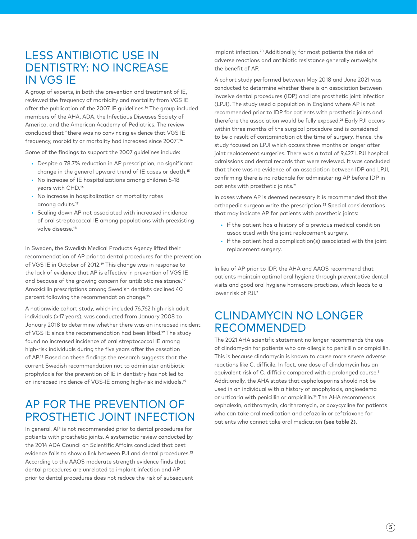#### LESS ANTIBIOTIC USE IN DENTISTRY: NO INCREASE IN VGS IE

A group of experts, in both the prevention and treatment of IE, reviewed the frequency of morbidity and mortality from VGS IE after the publication of the 2007 IE guidelines.14 The group included members of the AHA, ADA, the Infectious Diseases Society of America, and the American Academy of Pediatrics. The review concluded that "there was no convincing evidence that VGS IE frequency, morbidity or mortality had increased since 2007".14

Some of the findings to support the 2007 guidelines include:

- Despite a 78.7% reduction in AP prescription, no significant change in the general upward trend of IE cases or death.15
- No increase of IE hospitalizations among children 5-18 years with CHD.16
- No increase in hospitalization or mortality rates among adults.17
- Scaling down AP not associated with increased incidence of oral streptococcal IE among populations with preexisting valve disease.18

In Sweden, the Swedish Medical Products Agency lifted their recommendation of AP prior to dental procedures for the prevention of VGS IE in October of 2012.19 This change was in response to the lack of evidence that AP is effective in prevention of VGS IE and because of the growing concern for antibiotic resistance.19 Amoxicillin prescriptions among Swedish dentists declined 40 percent following the recommendation change.15

A nationwide cohort study, which included 76,762 high-risk adult individuals (>17 years), was conducted from January 2008 to January 2018 to determine whether there was an increased incident of VGS IE since the recommendation had been lifted.19 The study found no increased incidence of oral streptococcal IE among high-risk individuals during the five years after the cessation of AP.19 Based on these findings the research suggests that the current Swedish recommendation not to administer antibiotic prophylaxis for the prevention of IE in dentistry has not led to an increased incidence of VGS-IE among high-risk individuals.19

#### AP FOR THE PREVENTION OF PROSTHETIC JOINT INFECTION

In general, AP is not recommended prior to dental procedures for patients with prosthetic joints. A systematic review conducted by the 2014 ADA Council on Scientific Affairs concluded that best evidence fails to show a link between PJI and dental procedures.<sup>13</sup> According to the AAOS moderate strength evidence finds that dental procedures are unrelated to implant infection and AP prior to dental procedures does not reduce the risk of subsequent implant infection.20 Additionally, for most patients the risks of adverse reactions and antibiotic resistance generally outweighs the benefit of AP.

A cohort study performed between May 2018 and June 2021 was conducted to determine whether there is an association between invasive dental procedures (IDP) and late prosthetic joint infection (LPJI). The study used a population in England where AP is not recommended prior to IDP for patients with prosthetic joints and therefore the association would be fully exposed.21 Early PJI occurs within three months of the surgical procedure and is considered to be a result of contamination at the time of surgery. Hence, the study focused on LPJI which occurs three months or longer after joint replacement surgeries. There was a total of 9,427 LPJI hospital admissions and dental records that were reviewed. It was concluded that there was no evidence of an association between IDP and LPJI, confirming there is no rationale for administering AP before IDP in patients with prosthetic joints.21

In cases where AP is deemed necessary it is recommended that the orthopedic surgeon write the prescription.22 Special considerations that may indicate AP for patients with prosthetic joints:

- If the patient has a history of a previous medical condition associated with the joint replacement surgery.
- If the patient had a complication(s) associated with the joint replacement surgery.

In lieu of AP prior to IDP, the AHA and AAOS recommend that patients maintain optimal oral hygiene through preventative dental visits and good oral hygiene homecare practices, which leads to a lower risk of PJI.7

#### CLINDAMYCIN NO LONGER RECOMMENDED

The 2021 AHA scientific statement no longer recommends the use of clindamycin for patients who are allergic to penicillin or ampicillin. This is because clindamycin is known to cause more severe adverse reactions like C. difficile. In fact, one dose of clindamycin has an equivalent risk of C. difficile compared with a prolonged course.1 Additionally, the AHA states that cephalosporins should not be used in an individual with a history of anaphylaxis, angioedema or urticaria with penicillin or ampicillin.14 The AHA recommends cephalexin, azithromycin, clarithromycin, or doxycycline for patients who can take oral medication and cefazolin or ceftriaxone for patients who cannot take oral medication **(see table 2)**.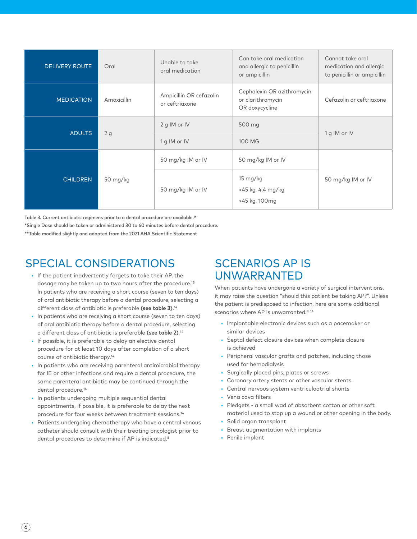| <b>DELIVERY ROUTE</b> | Oral        | Unable to take<br>oral medication         | Can take oral medication<br>and allergic to penicillin<br>or ampicillin | Cannot take oral<br>medication and allergic<br>to penicillin or ampicillin |
|-----------------------|-------------|-------------------------------------------|-------------------------------------------------------------------------|----------------------------------------------------------------------------|
| <b>MEDICATION</b>     | Amoxicillin | Ampicillin OR cefazolin<br>or ceftriaxone | Cephalexin OR azithromycin<br>or clarithromycin<br>OR doxycycline       | Cefazolin or ceftriaxone                                                   |
| <b>ADULTS</b>         | 2g          | 2 g IM or IV                              | 500 mg                                                                  | 1 g IM or IV                                                               |
|                       |             | 1 g IM or IV                              | 100 MG                                                                  |                                                                            |
| <b>CHILDREN</b>       | 50 mg/kg    | 50 mg/kg IM or IV                         | 50 mg/kg IM or IV                                                       | 50 mg/kg IM or IV                                                          |
|                       |             | 50 mg/kg IM or IV                         | 15 mg/kg<br><45 kg, 4.4 mg/kg<br>>45 kg, 100mg                          |                                                                            |

Table 3. Current antibiotic regimens prior to a dental procedure are available.14

\*Single Dose should be taken or administered 30 to 60 minutes before dental procedure.

\*\*Table modified slightly and adapted from the 2021 AHA Scientific Statement

### SPECIAL CONSIDERATIONS

- If the patient inadvertently forgets to take their AP, the dosage may be taken up to two hours after the procedure.13 In patients who are receiving a short course (seven to ten days) of oral antibiotic therapy before a dental procedure, selecting a different class of antibiotic is preferable **(see table 3)**.14
- In patients who are receiving a short course (seven to ten days) of oral antibiotic therapy before a dental procedure, selecting a different class of antibiotic is preferable **(see table 2)**.14
- If possible, it is preferable to delay an elective dental procedure for at least 10 days after completion of a short course of antibiotic therapy.14
- In patients who are receiving parenteral antimicrobial therapy for IE or other infections and require a dental procedure, the same parenteral antibiotic may be continued through the dental procedure.14
- In patients undergoing multiple sequential dental appointments, if possible, it is preferable to delay the next procedure for four weeks between treatment sessions.14
- Patients undergoing chemotherapy who have a central venous catheter should consult with their treating oncologist prior to dental procedures to determine if AP is indicated.<sup>8</sup>

### SCENARIOS AP IS UNWARRANTED

When patients have undergone a variety of surgical interventions, it may raise the question "should this patient be taking AP?". Unless the patient is predisposed to infection, here are some additional scenarios where AP is unwarranted.<sup>8,14</sup>

- Implantable electronic devices such as a pacemaker or similar devices
- Septal defect closure devices when complete closure is achieved
- Peripheral vascular grafts and patches, including those used for hemodialysis
- Surgically placed pins, plates or screws
- Coronary artery stents or other vascular stents
- Central nervous system ventriculoatrial shunts
- Vena cava filters
- Pledgets a small wad of absorbent cotton or other soft material used to stop up a wound or other opening in the body.
- Solid organ transplant
- Breast augmentation with implants
- Penile implant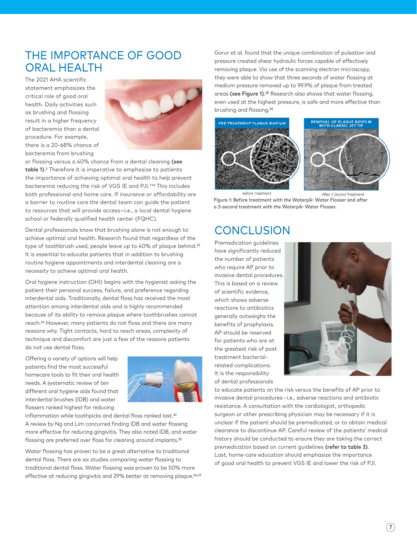#### THE IMPORTANCE OF GOOD ORAL HEALTH

The 2021 AHA scientific statement emphasizes the critical role of good oral health. Daily activities such as brushing and flossing result in a higher frequency of bacteremia than a dental procedure. For example, there is a 20-68% chance of bacteremia from brushing



or flossing versus a 40% chance from a dental cleaning **(see table 1)**.3 Therefore it is imperative to emphasize to patients the importance of achieving optimal oral health to help prevent bacteremia reducing the risk of VGS IE and PJI.<sup>7,14</sup> This includes both professional and home care. If insurance or affordability are a barrier to routine care the dental team can guide the patient to resources that will provide access—i.e., a local dental hygiene school or federally qualified health center (FQHC).

Dental professionals know that brushing alone is not enough to achieve optimal oral health. Research found that regardless of the type of toothbrush used, people leave up to 40% of plaque behind.<sup>23</sup> It is essential to educate patients that in addition to brushing routine hygiene appointments and interdental cleaning are a necessity to achieve optimal oral health.

Oral hygiene instruction (OHI) begins with the hygienist asking the patient their personal success, failure, and preference regarding interdental aids. Traditionally, dental floss has received the most attention among interdental aids and is highly recommended because of its ability to remove plaque where toothbrushes cannot reach.24 However, many patients do not floss and there are many reasons why. Tight contacts, hard to reach areas, complexity of technique and discomfort are just a few of the reasons patients do not use dental floss.

Offering a variety of options will help patients find the most successful homecare tools to fit their oral health needs. A systematic review of ten different oral hygiene aids found that interdental brushes (IDB) and water flossers ranked highest for reducing



inflammation while toothpicks and dental floss ranked last.<sup>24</sup> A review by Ng and Lim concurred finding IDB and water flossing more effective for reducing gingivitis. They also noted IDB, and water flossing are preferred over floss for cleaning around implants.<sup>25</sup>

Water flossing has proven to be a great alternative to traditional dental floss. There are six studies comparing water flossing to traditional dental floss. Water flossing was proven to be 50% more effective at reducing gingivitis and 29% better at removing plaque.<sup>26,27</sup>

Gorur et al. found that the unique combination of pulsation and pressure created shear hydraulic forces capable of effectively removing plaque. Via use of the scanning electron microscopy, they were able to show that three seconds of water flossing at medium pressure removed up to 99.9% of plaque from treated areas **(see Figure 1)**.28 Research also shows that water flossing, even used at the highest pressure, is safe and more effective than brushing and flossing.29





After 3 Second Treatmen Figure 1: Before treatment with the Waterpik<sup>®</sup> Water Flosser and after a 3-second treatment with the Waterpik<sup>®</sup> Water Flosser.

#### **CONCLUSION**

Premedication guidelines have significantly reduced the number of patients who require AP prior to invasive dental procedures. This is based on a review of scientific evidence, which shows adverse reactions to antibiotics generally outweighs the benefits of prophylaxis. AP should be reserved for patients who are at the greatest risk of post treatment bacterialrelated complications. It is the responsibility of dental professionals



to educate patients on the risk versus the benefits of AP prior to invasive dental procedures--i.e., adverse reactions and antibiotic resistance. A consultation with the cardiologist, orthopedic surgeon or other prescribing physician may be necessary if it is unclear if the patient should be premedicated, or to obtain medical clearance to discontinue AP. Careful review of the patients' medical history should be conducted to ensure they are taking the correct premedication based on current guidelines **(refer to table 3)**. Last, home-care education should emphasize the importance of good oral health to prevent VGS IE and lower the risk of PJI.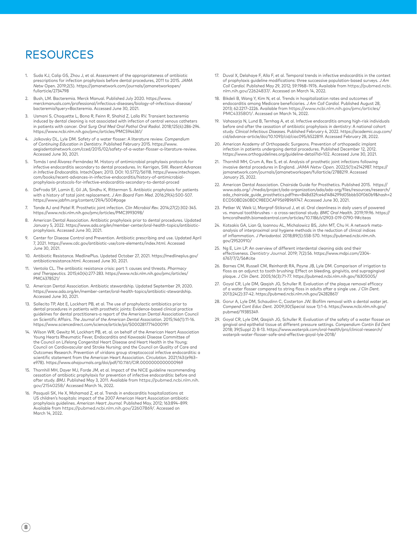#### RESOURCES

- 1. Suda KJ, Calip GS, Zhou J, et al. Assessment of the appropriateness of antibiotic prescriptions for infection prophylaxis before dental procedures, 2011 to 2015. *JAMA Netw* Open. 2019;2(5). https://jamanetwork.com/journals/jamanetworkopen/ fullarticle/2734798
- 2. Bush, LM. Bacteremia. Merck Manual. Published July 2020. https://www. merckmanuals.com/professional/infectious-diseases/biology-of-infectious-disease/ bacteremia?query=Bacteremia. Accessed June 30, 2021.
- 3. Usmani S, Choquette L, Bona R, Feinn R, Shahid Z, Lalla RV. Transient bacteremia induced by dental cleaning is not associated with infection of central venous catheters in patients with cancer. *Oral Surg Oral Med Oral Pathol Oral Radiol*. 2018;125(4):286-294. https://www.ncbi.nlm.nih.gov/pmc/articles/PMC5944361/
- 4. Jolkovsky DL, Lyle DM. Safety of a water flosser: A literature review. *Compendium of Continuing Education in Dentistry*. Published February 2015. https://www. aegisdentalnetwork.com/cced/2015/02/safety-of-a-water-flosser-a-literature-review. Accessed June 30, 2021.
- 5. Tomás I and Álvarez-Fernández M. History of antimicrobial prophylaxis protocols for infective endocarditis secondary to dental procedures. In: Kerrigan, SW. *Recent Advances in Infective Endocarditis.* IntechOpen; 2013. DOI: 10.5772/56118. https://www.intechopen. com/books/recent-advances-in-infective-endocarditis/history-of-antimicrobialprophylaxis-protocols-for-infective-endocarditis-secondary-to-dental-proced
- 6. DeFroda SF, Lamin E, Gil JA, Sindhu K, Ritterman S. Antibiotic prophylaxis for patients with a history of total joint replacement. *J Am Board Fam Med*. 2016;29(4):500-507. https://www.jabfm.org/content/29/4/500#page
- 7. Tande AJ and Patel R. Prosthetic joint infection. *Clin Microbiol Rev.* 2014;27(2):302-345. https://www.ncbi.nlm.nih.gov/pmc/articles/PMC3993098/
- 8. American Dental Association. Antibiotic prophylaxis prior to dental procedures. Updated January 5, 2022. https://www.ada.org/en/member-center/oral-health-topics/antibioticprophylaxis. Accessed June 30, 2021.
- 9. Center for Disease Control and Prevention. Antibiotic prescribing and use. Updated April 7, 2021. https://www.cdc.gov/antibiotic-use/core-elements/index.html. Accessed June 30, 2021.
- 10. Antibiotic Resistance. MedlinePlus. Updated October 27, 2021. https://medlineplus.gov/ antibioticresistance.html. Accessed June 30, 2021.
- 11. Ventola CL. The antibiotic resistance crisis: part 1: causes and threats. *Pharmacy and Therapeutics.* 2015;40(4):277-283. https://www.ncbi.nlm.nih.gov/pmc/articles/ PMC4378521/
- 12. American Dental Association. Antibiotic stewardship. Updated September 29, 2020. https://www.ada.org/en/member-center/oral-health-topics/antibiotic-stewardship. Accessed June 30, 2021.
- 13. Sollecito TP, Abt E, Lockhart PB, et al. The use of prophylactic antibiotics prior to dental procedures in patients with prosthetic joints: Evidence-based clinical practice guidelines for dental practitioners-a report of the American Dental Association Council on Scientific Affairs. *The Journal of the American Dental Association.* 2015;146(1):11-16. https://www.sciencedirect.com/science/article/pii/S0002817714000191
- 14. Wilson WR, Gewitz M, Lockhart PB, et. al. on behalf of the American Heart Association Young Hearts Rheumatic Fever, Endocarditis and Kawasaki Disease Committee of the Council on Lifelong Congenital Heart Disease and Heart Health in the Young; Council on Cardiovascular and Stroke Nursing; and the Council on Quality of Care and Outcomes Research. Prevention of viridans group streptococcal infective endocarditis: a scientific statement from the American Heart Association. *Circulation.* 2021;143:(e963– e978). https://www.ahajournals.org/doi/pdf/10.1161/CIR.0000000000000969
- 15. Thornhill MH, Dayer MJ, Forde JM, et al. Impact of the NICE guideline recommending cessation of antibiotic prophylaxis for prevention of infective endocarditis: before and after study. *BMJ.* Published May 3, 2011. Available from [https://pubmed.ncbi.nlm.nih.](https://pubmed.ncbi.nlm.nih.gov/21540258/) [gov/21540258/](https://pubmed.ncbi.nlm.nih.gov/21540258/) Accessed March 14, 2022.
- Pasquali SK, He X, Mohamad Z, et al. Trends in endocarditis hospitalizations at US children's hospitals: impact of the 2007 American Heart Association antibiotic prophylaxis guidelines. *American Heart Journal.* Published May, 2012; 163:894–899. Available from <https://pubmed.ncbi.nlm.nih.gov/22607869/>. Accessed on March 14, 2022.
- 17. Duval X, Delahaye F, Alla F, et al. Temporal trends in infective endocarditis in the context of prophylaxis guideline modifications: three successive population-based surveys. *J Am Coll Cardiol.* Published May 29, 2012; 59:1968–1976. Available from [https://pubmed.ncbi.](https://pubmed.ncbi.nlm.nih.gov/22624837/) [nlm.nih.gov/22624837/](https://pubmed.ncbi.nlm.nih.gov/22624837/). Accessed on March 14, 2022.
- 18. Bikdeli B, Wang Y, Kim N, et al. Trends in hospitalization rates and outcomes of endocarditis among Medicare beneficiaries. *J Am Coll Cardiol.* Published August 28, 2013; 62:2217–2226. Available from [https://www.ncbi.nlm.nih.gov/pmc/articles/](https://www.ncbi.nlm.nih.gov/pmc/articles/PMC4335801/) [PMC4335801/](https://www.ncbi.nlm.nih.gov/pmc/articles/PMC4335801/). Accessed on March 14, 2022.
- 19. Vahasarja N, Lund B, Ternhag A, et al. Infective endocarditis among high-risk individuals before and after the cessation of antibiotic prophylaxis in dentistry: A national cohort study. *Clinical Infectious Diseases.* Published February 4, 2022. https://academic.oup.com/ cid/advance-article/doi/10.1093/cid/ciac095/6522819. Accessed February 28, 2022.
- 20. American Academy of Orthopaedic Surgeons. Prevention of orthopaedic implant infection in patients undergoing dental procedures. Published December 12, 2012. https://www.orthoguidelines.org/guideline-detail?id=102. Accessed June 30, 2021.
- 21. Thornhill MH, Crum A, Rex S, et al. Analysis of prosthetic joint infections following invasive dental procedures in England. *JAMA Netw Open.* 2022;5(1):e2142987. https:// jamanetwork.com/journals/jamanetworkopen/fullarticle/2788219. Accessed January 25, 2022.
- 22. American Dental Association. Chairside Guide for Prosthetics. Published 2015. https:// www.ada.org/-/media/project/ada-organization/ada/ada-org/files/resources/research/ ada\_chairside\_guide\_prosthetics.pdf?rev=848d32fce4d1484299d05bbb50f060b9&hash=2 ECD50BD260BDC98EDCAF9569B969747. Accessed June 30, 2021.
- 23. Petker W, Weik U, Margraf-Stiksrud J, et al. Oral cleanliness in daily users of powered vs. manual toothbrushes – a cross-sectional study. *BMC Oral Health.* 2019;19:96. https:// bmcoralhealth.biomedcentral.com/articles/10.1186/s12903-019-0790-9#citeas
- 24. Kotsakis GA, Lian Q, Ioannou AL, Michalowicz BS, John MT, Chu H. A network metaanalysis of interproximal oral hygiene methods in the reduction of clinical indices of inflammation. *J Periodontol.* 2018;89(5):558-570. https://pubmed.ncbi.nlm.nih. gov/29520910/
- 25. Ng E, Lim LP. An overview of different interdental cleaning aids and their effectiveness. *Dentistry Journal*. 2019; 7(2):56. https://www.mdpi.com/2304- 6767/7/2/56#cite
- 26. Barnes CM, Russell CM, Reinhardt RA, Payne JB, Lyle DM. Comparison of irrigation to floss as an adjunct to tooth brushing: Effect on bleeding, gingivitis, and supragingival plaque. *J Clin Dent.* 2005;16(3):71-77. https://pubmed.ncbi.nlm.nih.gov/16305005/
- 27. Goyal CR, Lyle DM, Qaqish JG, Schuller R. Evaluation of the plaque removal efficacy of a water flosser compared to string floss in adults after a single use. *J Clin Dent.* 2013;24(2):37-42. https://pubmed.ncbi.nlm.nih.gov/24282867/
- 28. Gorur A, Lyle DM, Schaudinn C, Costerton JW. Biofilm removal with a dental water jet. *Compend Cont Educ Dent.* 2009;30(Special issue 1):1-6. https://www.ncbi.nlm.nih.gov/ pubmed/19385349.
- 29. Goyal CR, Lyle DM, Qaqish JG, Schuller R. Evaluation of the safety of a water flosser on gingival and epithelial tissue at different pressure settings. *Compendium Contin Ed Dent*  2018; 39(Suppl 2) 8-13. https://www.waterpik.com/oral-health/pro/clinical-research/ waterpik-water-flosser-safe-and-effective-goyal-lyle-2018/

 $8)$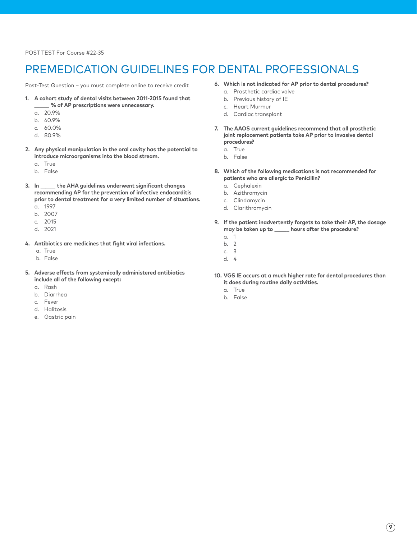POST TEST For Course #22-35

### PREMEDICATION GUIDELINES FOR DENTAL PROFESSIONALS

Post-Test Question – you must complete online to receive credit

- **1. A cohort study of dental visits between 2011-2015 found that**  \_\_\_\_\_\_ **% of AP prescriptions were unnecessary.**
	- a. 20.9%
	- b. 40.9%
	- c. 60.0%
	- d. 80.9%
- **2. Any physical manipulation in the oral cavity has the potential to introduce microorganisms into the blood stream.** 
	- a. True
	- b. False
- **3. In** \_\_\_\_\_\_ **the AHA guidelines underwent significant changes recommending AP for the prevention of infective endocarditis prior to dental treatment for a very limited number of situations.**
	- a. 1997
	- b. 2007
	- c. 2015
	- d. 2021
- **4. Antibiotics are medicines that fight viral infections.**
	- a. True
	- b. False
- **5. Adverse effects from systemically administered antibiotics include all of the following except:**
	- a. Rash
	- b. Diarrhea
	- c. Fever
	- d. Halitosis
	- e. Gastric pain
- **6. Which is not indicated for AP prior to dental procedures?**
	- a. Prosthetic cardiac valve
	- b. Previous history of IE
	- c. Heart Murmur
	- d. Cardiac transplant
- **7. The AAOS current guidelines recommend that all prosthetic joint replacement patients take AP prior to invasive dental procedures?** 
	- a. True
	- b. False
- **8. Which of the following medications is not recommended for patients who are allergic to Penicillin?** 
	- a. Cephalexin
	- b. Azithromycin
	- c. Clindamycin
	- d. Clarithromycin
- **9. If the patient inadvertently forgets to take their AP, the dosage may be taken up to** \_\_\_\_\_\_ **hours after the procedure?**
	- a. 1
	- b. 2
	- c. 3
	- d. 4
- **10. VGS IE occurs at a much higher rate for dental procedures than it does during routine daily activities.** 
	- a. True
	- b. False